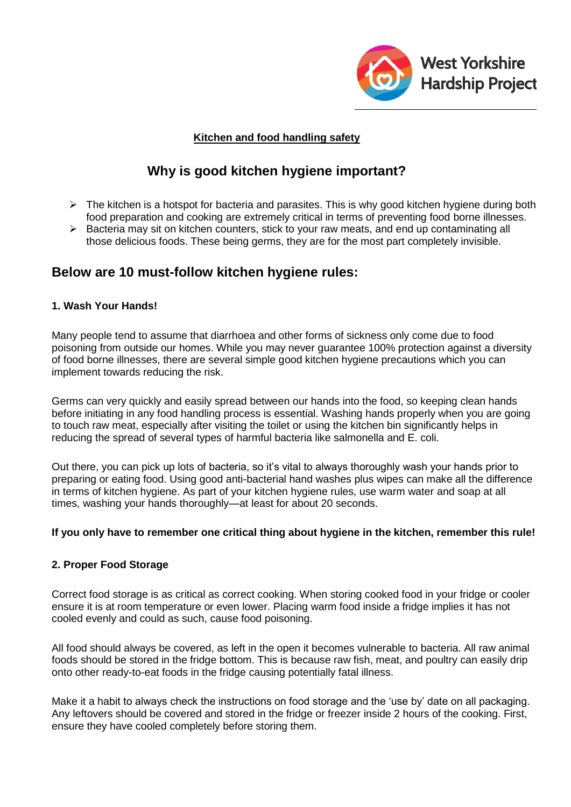

# **Kitchen and food handling safety**

# **Why is good kitchen hygiene important?**

- $\triangleright$  The kitchen is a hotspot for bacteria and parasites. This is why good kitchen hygiene during both food preparation and cooking are extremely critical in terms of preventing food borne illnesses.
- $\triangleright$  Bacteria may sit on kitchen counters, stick to your raw meats, and end up contaminating all those delicious foods. These being germs, they are for the most part completely invisible.

# **Below are 10 must-follow kitchen hygiene rules:**

# **1. Wash Your Hands!**

Many people tend to assume that diarrhoea and other forms of sickness only come due to food poisoning from outside our homes. While you may never guarantee 100% protection against a diversity of food borne illnesses, there are several simple good kitchen hygiene precautions which you can implement towards reducing the risk.

Germs can very quickly and easily spread between our hands into the food, so keeping clean hands before initiating in any food handling process is essential. Washing hands properly when you are going to touch raw meat, especially after visiting the toilet or using the kitchen bin significantly helps in reducing the spread of several types of harmful bacteria like salmonella and E. coli.

Out there, you can pick up lots of bacteria, so it's vital to always thoroughly wash your hands prior to preparing or eating food. Using good anti-bacterial hand washes plus wipes can make all the difference in terms of kitchen hygiene. As part of your kitchen hygiene rules, use warm water and soap at all times, washing your hands thoroughly—at least for about 20 seconds.

#### **If you only have to remember one critical thing about hygiene in the kitchen, remember this rule!**

#### **2. Proper Food Storage**

Correct food storage is as critical as correct cooking. When storing cooked food in your fridge or cooler ensure it is at room temperature or even lower. Placing warm food inside a fridge implies it has not cooled evenly and could as such, cause food poisoning.

All food should always be covered, as left in the open it becomes vulnerable to bacteria. All raw animal foods should be stored in the fridge bottom. This is because raw fish, meat, and poultry can easily drip onto other ready-to-eat foods in the fridge causing potentially fatal illness.

Make it a habit to always check the instructions on food storage and the 'use by' date on all packaging. Any leftovers should be covered and stored in the fridge or freezer inside 2 hours of the cooking. First, ensure they have cooled completely before storing them.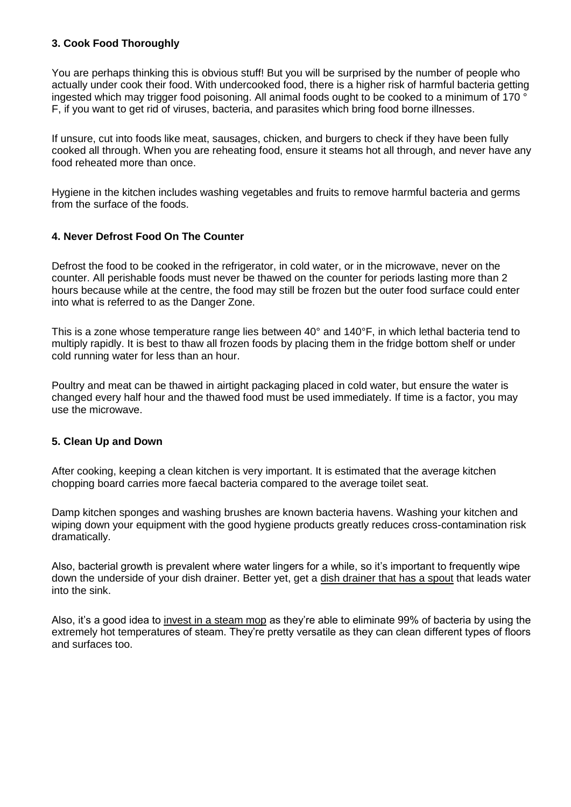# **3. Cook Food Thoroughly**

You are perhaps thinking this is obvious stuff! But you will be surprised by the number of people who actually under cook their food. With undercooked food, there is a higher risk of harmful bacteria getting ingested which may trigger food poisoning. All animal foods ought to be cooked to a minimum of 170 ° F, if you want to get rid of viruses, bacteria, and parasites which bring food borne illnesses.

If unsure, cut into foods like meat, sausages, chicken, and burgers to check if they have been fully cooked all through. When you are reheating food, ensure it steams hot all through, and never have any food reheated more than once.

Hygiene in the kitchen includes washing vegetables and fruits to remove harmful bacteria and germs from the surface of the foods.

# **4. Never Defrost Food On The Counter**

Defrost the food to be cooked in the refrigerator, in cold water, or in the microwave, never on the counter. All perishable foods must never be thawed on the counter for periods lasting more than 2 hours because while at the centre, the food may still be frozen but the outer food surface could enter into what is referred to as the Danger Zone.

This is a zone whose temperature range lies between 40° and 140°F, in which lethal bacteria tend to multiply rapidly. It is best to thaw all frozen foods by placing them in the fridge bottom shelf or under cold running water for less than an hour.

Poultry and meat can be thawed in airtight packaging placed in cold water, but ensure the water is changed every half hour and the thawed food must be used immediately. If time is a factor, you may use the microwave.

#### **5. Clean Up and Down**

After cooking, keeping a clean kitchen is very important. It is estimated that the average kitchen chopping board carries more faecal bacteria compared to the average toilet seat.

Damp kitchen sponges and washing brushes are known bacteria havens. Washing your kitchen and wiping down your equipment with the good hygiene products greatly reduces cross-contamination risk dramatically.

Also, bacterial growth is prevalent where water lingers for a while, so it's important to frequently wipe down the underside of your dish drainer. Better yet, get a [dish drainer that has a spout](http://www.besthomekitchenstuff.co.uk/top-5-best-dish-drainers/) that leads water into the sink.

Also, it's a good idea to [invest in a steam mop](http://www.besthomekitchenstuff.co.uk/top-10-best-steam-mops/) as they're able to eliminate 99% of bacteria by using the extremely hot temperatures of steam. They're pretty versatile as they can clean different types of floors and surfaces too.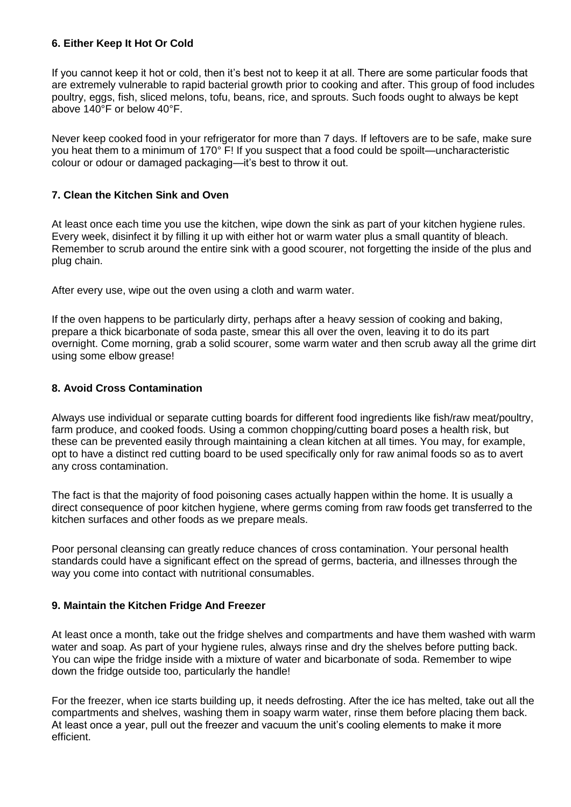#### **6. Either Keep It Hot Or Cold**

If you cannot keep it hot or cold, then it's best not to keep it at all. There are some particular foods that are extremely vulnerable to rapid bacterial growth prior to cooking and after. This group of food includes poultry, eggs, fish, sliced melons, tofu, beans, rice, and sprouts. Such foods ought to always be kept above 140°F or below 40°F.

Never keep cooked food in your refrigerator for more than 7 days. If leftovers are to be safe, make sure you heat them to a minimum of 170° F! If you suspect that a food could be spoilt—uncharacteristic colour or odour or damaged packaging—it's best to throw it out.

# **7. Clean the Kitchen Sink and Oven**

At least once each time you use the kitchen, wipe down the sink as part of your kitchen hygiene rules. Every week, disinfect it by filling it up with either hot or warm water plus a small quantity of bleach. Remember to scrub around the entire sink with a good scourer, not forgetting the inside of the plus and plug chain.

After every use, wipe out the oven using a cloth and warm water.

If the oven happens to be particularly dirty, perhaps after a heavy session of cooking and baking, prepare a thick bicarbonate of soda paste, smear this all over the oven, leaving it to do its part overnight. Come morning, grab a solid scourer, some warm water and then scrub away all the grime dirt using some elbow grease!

# **8. Avoid Cross Contamination**

Always use individual or separate cutting boards for different food ingredients like fish/raw meat/poultry, farm produce, and cooked foods. Using a common chopping/cutting board poses a health risk, but these can be prevented easily through maintaining a clean kitchen at all times. You may, for example, opt to have a distinct red cutting board to be used specifically only for raw animal foods so as to avert any cross contamination.

The fact is that the majority of food poisoning cases actually happen within the home. It is usually a direct consequence of poor kitchen hygiene, where germs coming from raw foods get transferred to the kitchen surfaces and other foods as we prepare meals.

Poor personal cleansing can greatly reduce chances of cross contamination. Your personal health standards could have a significant effect on the spread of germs, bacteria, and illnesses through the way you come into contact with nutritional consumables.

#### **9. Maintain the Kitchen Fridge And Freezer**

At least once a month, take out the fridge shelves and compartments and have them washed with warm water and soap. As part of your hygiene rules, always rinse and dry the shelves before putting back. You can wipe the fridge inside with a mixture of water and bicarbonate of soda. Remember to wipe down the fridge outside too, particularly the handle!

For the freezer, when ice starts building up, it needs defrosting. After the ice has melted, take out all the compartments and shelves, washing them in soapy warm water, rinse them before placing them back. At least once a year, pull out the freezer and vacuum the unit's cooling elements to make it more efficient.